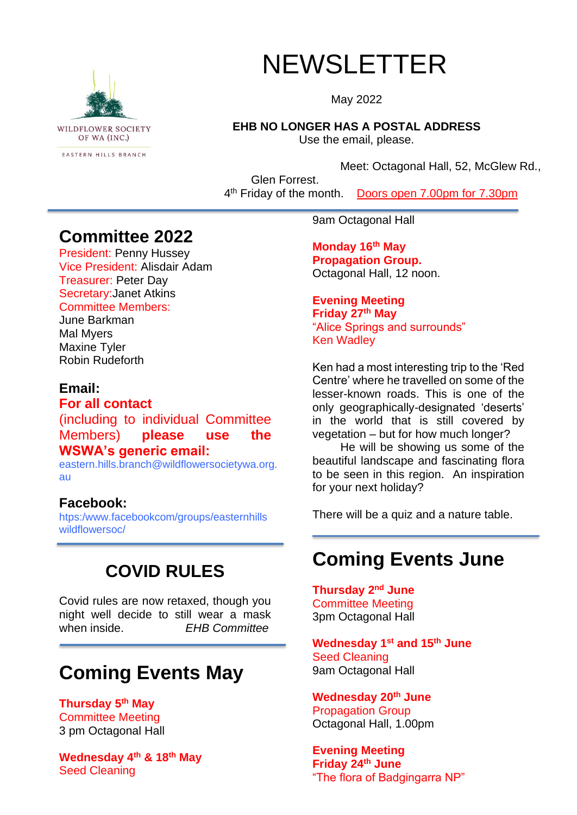

# NEWSLETTER

May 2022

**EHB NO LONGER HAS A POSTAL ADDRESS**

Use the email, please.

Meet: Octagonal Hall, 52, McGlew Rd.,

Glen Forrest. 4<sup>th</sup> Friday of the month. Doors open 7.00pm for 7.30pm

### **Committee 2022**

President: Penny Hussey Vice President: Alisdair Adam Treasurer: Peter Day Secretary:Janet Atkins Committee Members:

### June Barkman Mal Myers

Maxine Tyler Robin Rudeforth

### **Email:**

**For all contact**

(including to individual Committee Members) **please use the WSWA's generic email:**

eastern.hills.branch@wildflowersocietywa.org. au

### **Facebook:**

htps:/www.facebookcom/groups/easternhills wildflowersoc/

# **COVID RULES**

Covid rules are now retaxed, though you night well decide to still wear a mask when inside. *EHB Committee*

# **Coming Events May**

**Thursday 5 th May** Committee Meeting 3 pm Octagonal Hall

**Wednesday 4th & 18 th May** Seed Cleaning

9am Octagonal Hall

**Monday 16th May Propagation Group.**  Octagonal Hall, 12 noon.

### **Evening Meeting Friday 27th May** "Alice Springs and surrounds" Ken Wadley

Ken had a most interesting trip to the 'Red Centre' where he travelled on some of the lesser-known roads. This is one of the only geographically-designated 'deserts' in the world that is still covered by vegetation – but for how much longer?

He will be showing us some of the beautiful landscape and fascinating flora to be seen in this region. An inspiration for your next holiday?

There will be a quiz and a nature table.

# **Coming Events June**

**Thursday 2<sup>nd</sup> June** Committee Meeting 3pm Octagonal Hall

**Wednesday 1 st and 15th June** Seed Cleaning 9am Octagonal Hall

**Wednesday 20th June** Propagation Group Octagonal Hall, 1.00pm

**Evening Meeting Friday 24th June** "The flora of Badgingarra NP"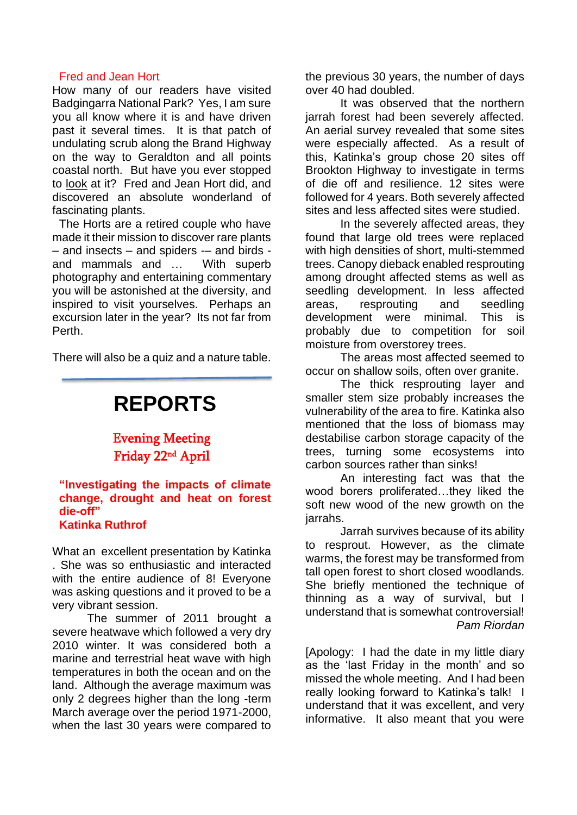#### Fred and Jean Hort

How many of our readers have visited Badgingarra National Park? Yes, I am sure you all know where it is and have driven past it several times. It is that patch of undulating scrub along the Brand Highway on the way to Geraldton and all points coastal north. But have you ever stopped to look at it? Fred and Jean Hort did, and discovered an absolute wonderland of fascinating plants.

The Horts are a retired couple who have made it their mission to discover rare plants – and insects – and spiders -– and birds and mammals and … With superb photography and entertaining commentary you will be astonished at the diversity, and inspired to visit yourselves. Perhaps an excursion later in the year? Its not far from Perth.

There will also be a quiz and a nature table.

# **REPORTS**

Evening Meeting Friday 22nd April

#### **"Investigating the impacts of climate change, drought and heat on forest die-off" Katinka Ruthrof**

What an excellent presentation by Katinka . She was so enthusiastic and interacted with the entire audience of 8! Everyone was asking questions and it proved to be a very vibrant session.

The summer of 2011 brought a severe heatwave which followed a very dry 2010 winter. It was considered both a marine and terrestrial heat wave with high temperatures in both the ocean and on the land. Although the average maximum was only 2 degrees higher than the long -term March average over the period 1971-2000, when the last 30 years were compared to the previous 30 years, the number of days over 40 had doubled.

It was observed that the northern jarrah forest had been severely affected. An aerial survey revealed that some sites were especially affected. As a result of this, Katinka's group chose 20 sites off Brookton Highway to investigate in terms of die off and resilience. 12 sites were followed for 4 years. Both severely affected sites and less affected sites were studied.

In the severely affected areas, they found that large old trees were replaced with high densities of short, multi-stemmed trees. Canopy dieback enabled resprouting among drought affected stems as well as seedling development. In less affected areas, resprouting and seedling development were minimal. This is probably due to competition for soil moisture from overstorey trees.

The areas most affected seemed to occur on shallow soils, often over granite.

The thick resprouting layer and smaller stem size probably increases the vulnerability of the area to fire. Katinka also mentioned that the loss of biomass may destabilise carbon storage capacity of the trees, turning some ecosystems into carbon sources rather than sinks!

An interesting fact was that the wood borers proliferated…they liked the soft new wood of the new growth on the jarrahs.

Jarrah survives because of its ability to resprout. However, as the climate warms, the forest may be transformed from tall open forest to short closed woodlands. She briefly mentioned the technique of thinning as a way of survival, but I understand that is somewhat controversial! *Pam Riordan*

[Apology: I had the date in my little diary as the 'last Friday in the month' and so missed the whole meeting. And I had been really looking forward to Katinka's talk! I understand that it was excellent, and very informative. It also meant that you were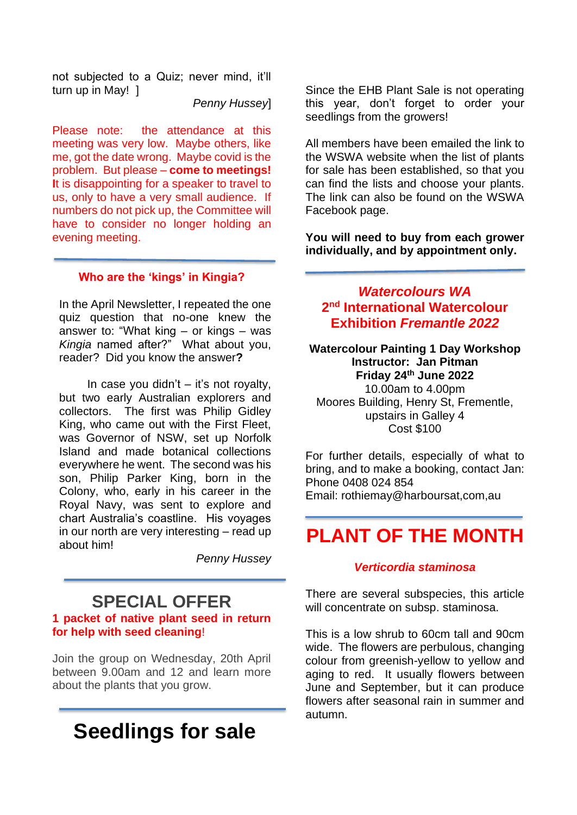not subjected to a Quiz; never mind, it'll turn up in May! ]

*Penny Hussey*]

Please note: the attendance at this meeting was very low. Maybe others, like me, got the date wrong. Maybe covid is the problem. But please – **come to meetings! I**t is disappointing for a speaker to travel to us, only to have a very small audience. If numbers do not pick up, the Committee will have to consider no longer holding an evening meeting.

#### **Who are the 'kings' in Kingia?**

In the April Newsletter, I repeated the one quiz question that no-one knew the answer to: "What king – or kings – was *Kingia* named after?" What about you, reader? Did you know the answer**?**

In case you didn't  $-$  it's not royalty, but two early Australian explorers and collectors. The first was Philip Gidley King, who came out with the First Fleet, was Governor of NSW, set up Norfolk Island and made botanical collections everywhere he went. The second was his son, Philip Parker King, born in the Colony, who, early in his career in the Royal Navy, was sent to explore and chart Australia's coastline. His voyages in our north are very interesting – read up about him!

*Penny Hussey*

### **SPECIAL OFFER 1 packet of native plant seed in return for help with seed cleaning**!

Join the group on Wednesday, 20th April between 9.00am and 12 and learn more about the plants that you grow.

# **Seedlings for sale**

Since the EHB Plant Sale is not operating this year, don't forget to order your seedlings from the growers!

All members have been emailed the link to the WSWA website when the list of plants for sale has been established, so that you can find the lists and choose your plants. The link can also be found on the WSWA Facebook page.

**You will need to buy from each grower individually, and by appointment only.**

### *Watercolours WA* **2 nd International Watercolour Exhibition** *Fremantle 2022*

**Watercolour Painting 1 Day Workshop Instructor: Jan Pitman Friday 24th June 2022** 10.00am to 4.00pm Moores Building, Henry St, Frementle, upstairs in Galley 4 Cost \$100

For further details, especially of what to bring, and to make a booking, contact Jan: Phone 0408 024 854 Email: rothiemay@harboursat,com,au

# **PLANT OF THE MONTH**

#### *Verticordia staminosa*

There are several subspecies, this article will concentrate on subsp. staminosa.

This is a low shrub to 60cm tall and 90cm wide. The flowers are perbulous, changing colour from greenish-yellow to yellow and aging to red. It usually flowers between June and September, but it can produce flowers after seasonal rain in summer and autumn.